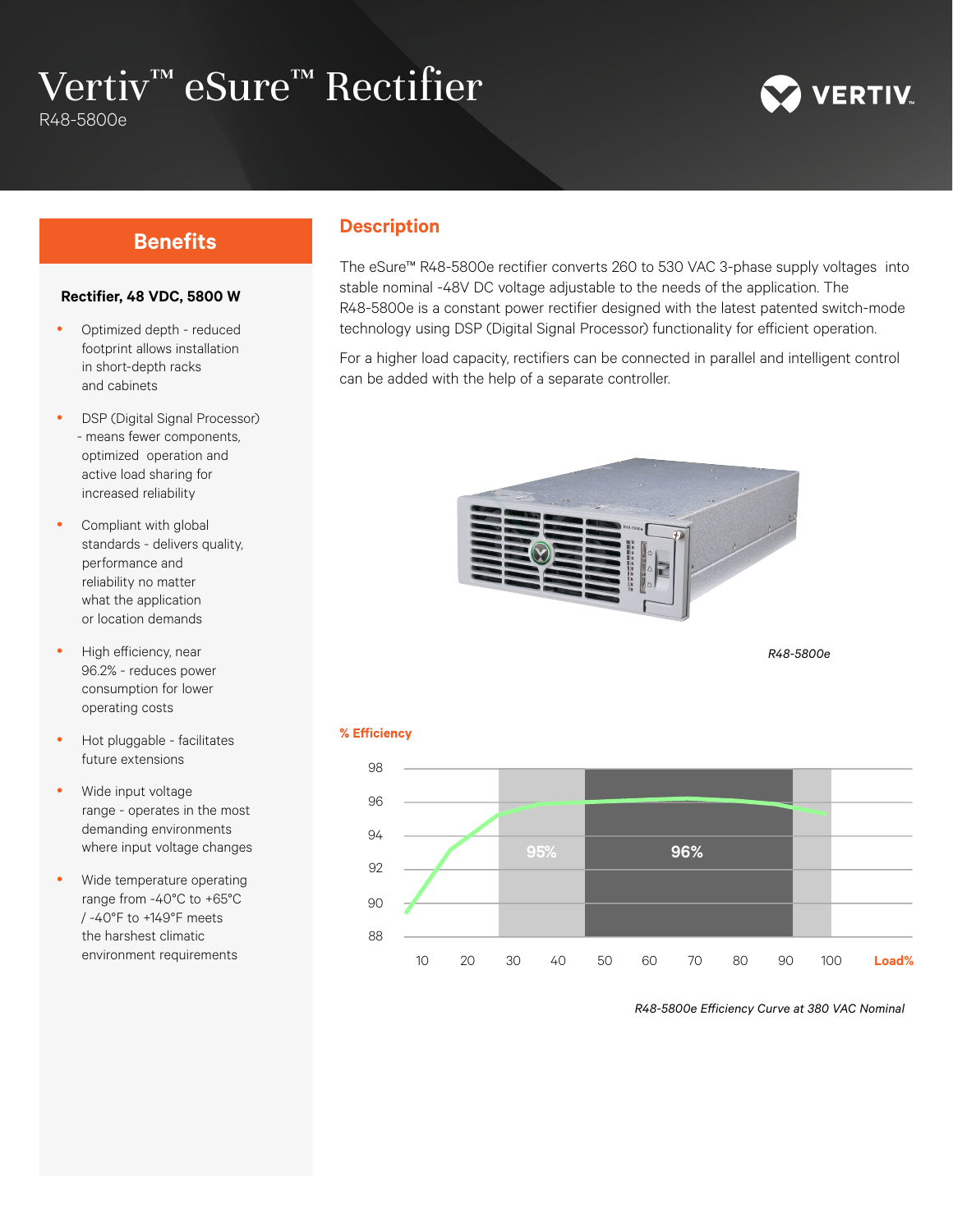# Vertiv™ eSure™ Rectifier

R48-5800e



### **Rectifier, 48 VDC, 5800 W**

- Optimized depth reduced footprint allows installation in short-depth racks and cabinets
- DSP (Digital Signal Processor) - means fewer components, optimized operation and active load sharing for increased reliability
- Compliant with global standards - delivers quality, performance and reliability no matter what the application or location demands
- High efficiency, near 96.2% - reduces power consumption for lower operating costs
- Hot pluggable facilitates future extensions
- Wide input voltage range - operates in the most demanding environments where input voltage changes
- Wide temperature operating range from -40°C to +65°C / -40°F to +149°F meets the harshest climatic environment requirements

## **Benefits Description**

The eSure™ R48-5800e rectifier converts 260 to 530 VAC 3-phase supply voltages into stable nominal -48V DC voltage adjustable to the needs of the application. The R48-5800e is a constant power rectifier designed with the latest patented switch-mode technology using DSP (Digital Signal Processor) functionality for efficient operation.

For a higher load capacity, rectifiers can be connected in parallel and intelligent control can be added with the help of a separate controller.



*R48-5800e* 





*R48-5800e Efficiency Curve at 380 VAC Nominal*